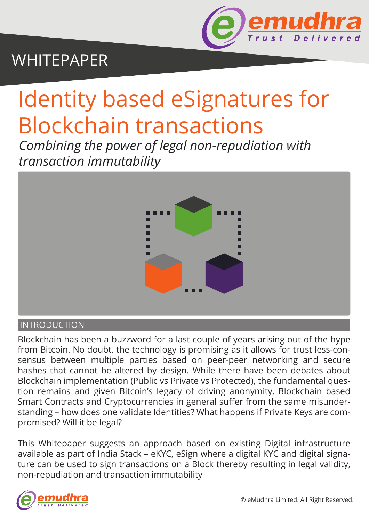

## WHITEPAPER

# Identity based eSignatures for Blockchain transactions

*Combining the power of legal non-repudiation with transaction immutability*



#### **INTRODUCTION**

Blockchain has been a buzzword for a last couple of years arising out of the hype from Bitcoin. No doubt, the technology is promising as it allows for trust less-consensus between multiple parties based on peer-peer networking and secure hashes that cannot be altered by design. While there have been debates about Blockchain implementation (Public vs Private vs Protected), the fundamental question remains and given Bitcoin's legacy of driving anonymity, Blockchain based Smart Contracts and Cryptocurrencies in general suffer from the same misunderstanding – how does one validate Identities? What happens if Private Keys are compromised? Will it be legal?

This Whitepaper suggests an approach based on existing Digital infrastructure available as part of India Stack – eKYC, eSign where a digital KYC and digital signature can be used to sign transactions on a Block thereby resulting in legal validity, non-repudiation and transaction immutability

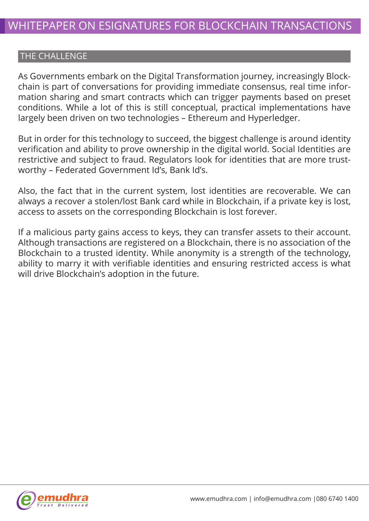### THE CHALLENGE

As Governments embark on the Digital Transformation journey, increasingly Blockchain is part of conversations for providing immediate consensus, real time information sharing and smart contracts which can trigger payments based on preset conditions. While a lot of this is still conceptual, practical implementations have largely been driven on two technologies – Ethereum and Hyperledger.

But in order for this technology to succeed, the biggest challenge is around identity verification and ability to prove ownership in the digital world. Social Identities are restrictive and subject to fraud. Regulators look for identities that are more trustworthy – Federated Government Id's, Bank Id's.

Also, the fact that in the current system, lost identities are recoverable. We can always a recover a stolen/lost Bank card while in Blockchain, if a private key is lost, access to assets on the corresponding Blockchain is lost forever.

If a malicious party gains access to keys, they can transfer assets to their account. Although transactions are registered on a Blockchain, there is no association of the Blockchain to a trusted identity. While anonymity is a strength of the technology, ability to marry it with verifiable identities and ensuring restricted access is what will drive Blockchain's adoption in the future.

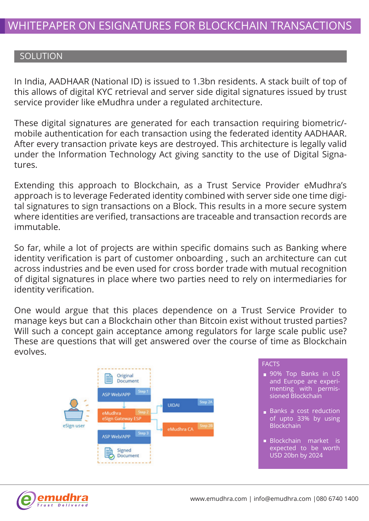#### **SOLUTION**

In India, AADHAAR (National ID) is issued to 1.3bn residents. A stack built of top of this allows of digital KYC retrieval and server side digital signatures issued by trust service provider like eMudhra under a regulated architecture.

These digital signatures are generated for each transaction requiring biometric/ mobile authentication for each transaction using the federated identity AADHAAR. After every transaction private keys are destroyed. This architecture is legally valid under the Information Technology Act giving sanctity to the use of Digital Signatures.

Extending this approach to Blockchain, as a Trust Service Provider eMudhra's approach is to leverage Federated identity combined with server side one time digital signatures to sign transactions on a Block. This results in a more secure system where identities are verified, transactions are traceable and transaction records are immutable.

So far, while a lot of projects are within specific domains such as Banking where identity verification is part of customer onboarding , such an architecture can cut across industries and be even used for cross border trade with mutual recognition of digital signatures in place where two parties need to rely on intermediaries for identity verification.

One would argue that this places dependence on a Trust Service Provider to manage keys but can a Blockchain other than Bitcoin exist without trusted parties? Will such a concept gain acceptance among regulators for large scale public use? These are questions that will get answered over the course of time as Blockchain evolves.